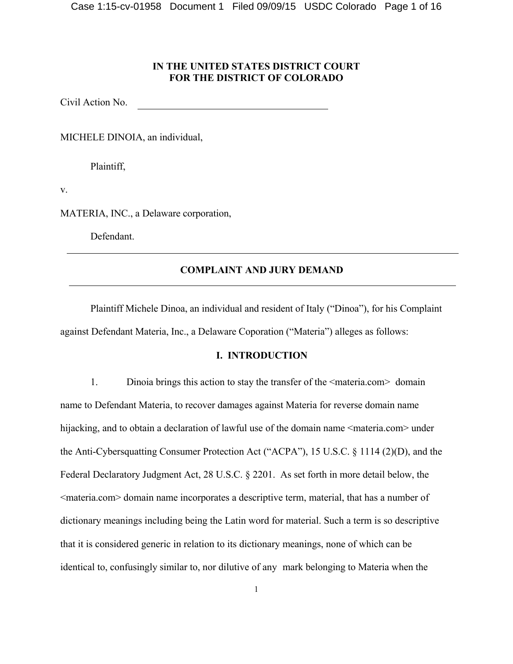# **IN THE UNITED STATES DISTRICT COURT FOR THE DISTRICT OF COLORADO**

Civil Action No.

MICHELE DINOIA, an individual,

Plaintiff,

v.

MATERIA, INC., a Delaware corporation,

Defendant.

# **COMPLAINT AND JURY DEMAND**

Plaintiff Michele Dinoa, an individual and resident of Italy ("Dinoa"), for his Complaint against Defendant Materia, Inc., a Delaware Coporation ("Materia") alleges as follows:

# **I. INTRODUCTION**

1. Dinoia brings this action to stay the transfer of the <materia.com> domain name to Defendant Materia, to recover damages against Materia for reverse domain name hijacking, and to obtain a declaration of lawful use of the domain name <materia.com> under the Anti-Cybersquatting Consumer Protection Act ("ACPA"), 15 U.S.C. § 1114 (2)(D), and the Federal Declaratory Judgment Act, 28 U.S.C. § 2201. As set forth in more detail below, the <materia.com> domain name incorporates a descriptive term, material, that has a number of dictionary meanings including being the Latin word for material. Such a term is so descriptive that it is considered generic in relation to its dictionary meanings, none of which can be identical to, confusingly similar to, nor dilutive of any mark belonging to Materia when the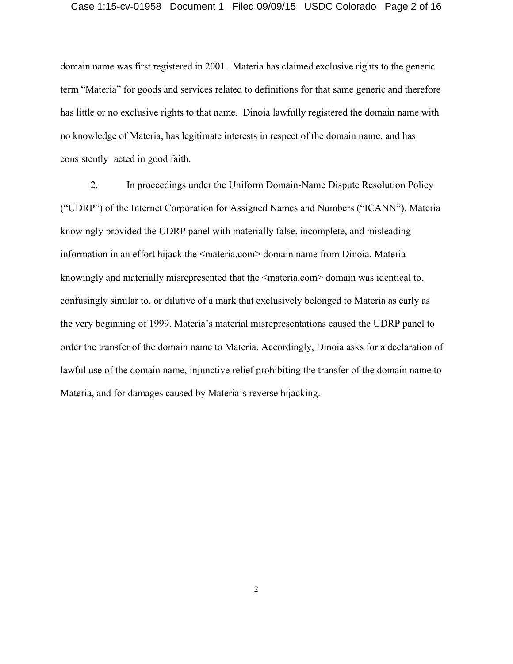### Case 1:15-cv-01958 Document 1 Filed 09/09/15 USDC Colorado Page 2 of 16

domain name was first registered in 2001. Materia has claimed exclusive rights to the generic term "Materia" for goods and services related to definitions for that same generic and therefore has little or no exclusive rights to that name. Dinoia lawfully registered the domain name with no knowledge of Materia, has legitimate interests in respect of the domain name, and has consistently acted in good faith.

2. In proceedings under the Uniform Domain-Name Dispute Resolution Policy ("UDRP") of the Internet Corporation for Assigned Names and Numbers ("ICANN"), Materia knowingly provided the UDRP panel with materially false, incomplete, and misleading information in an effort hijack the <materia.com> domain name from Dinoia. Materia knowingly and materially misrepresented that the  $\leq$ materia.com> domain was identical to, confusingly similar to, or dilutive of a mark that exclusively belonged to Materia as early as the very beginning of 1999. Materia's material misrepresentations caused the UDRP panel to order the transfer of the domain name to Materia. Accordingly, Dinoia asks for a declaration of lawful use of the domain name, injunctive relief prohibiting the transfer of the domain name to Materia, and for damages caused by Materia's reverse hijacking.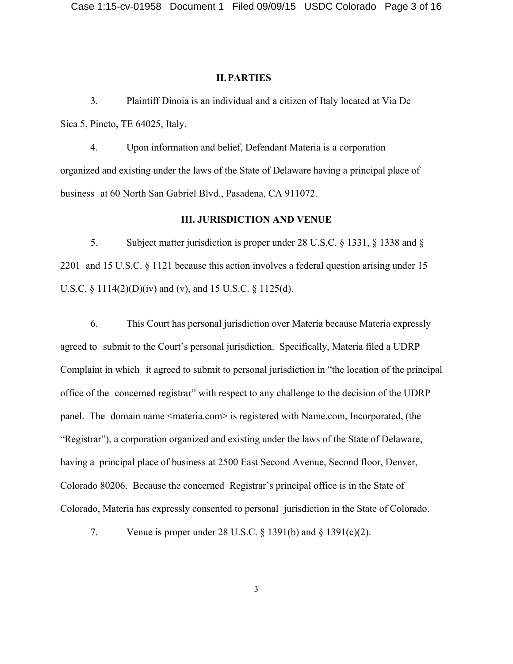#### **II.PARTIES**

3. Plaintiff Dinoia is an individual and a citizen of Italy located at Via De Sica 5, Pineto, TE 64025, Italy.

4. Upon information and belief, Defendant Materia is a corporation organized and existing under the laws of the State of Delaware having a principal place of business at 60 North San Gabriel Blvd., Pasadena, CA 911072.

### **III. JURISDICTION AND VENUE**

5. Subject matter jurisdiction is proper under 28 U.S.C. § 1331, § 1338 and § 2201 and 15 U.S.C. § 1121 because this action involves a federal question arising under 15 U.S.C. § 1114(2)(D)(iv) and (v), and 15 U.S.C. § 1125(d).

6. This Court has personal jurisdiction over Materia because Materia expressly agreed to submit to the Court's personal jurisdiction. Specifically, Materia filed a UDRP Complaint in which it agreed to submit to personal jurisdiction in "the location of the principal office of the concerned registrar" with respect to any challenge to the decision of the UDRP panel. The domain name <materia.com> is registered with Name.com, Incorporated, (the "Registrar"), a corporation organized and existing under the laws of the State of Delaware, having a principal place of business at 2500 East Second Avenue, Second floor, Denver, Colorado 80206. Because the concerned Registrar's principal office is in the State of Colorado, Materia has expressly consented to personal jurisdiction in the State of Colorado.

7. Venue is proper under 28 U.S.C. § 1391(b) and § 1391(c)(2).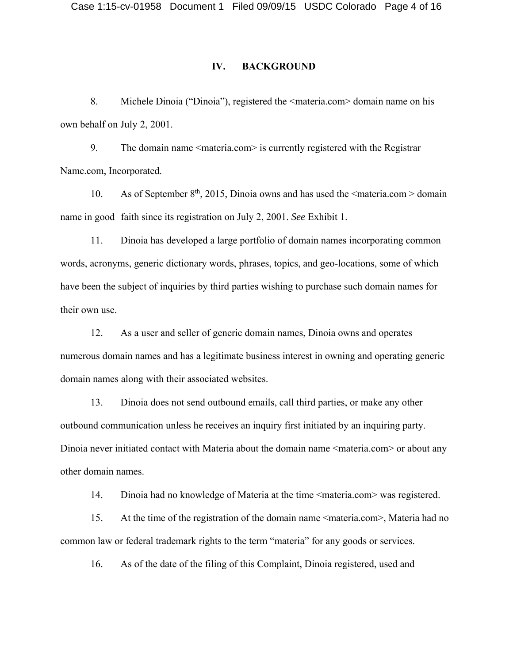## **IV. BACKGROUND**

8. Michele Dinoia ("Dinoia"), registered the <materia.com> domain name on his own behalf on July 2, 2001.

9. The domain name <materia.com> is currently registered with the Registrar Name.com, Incorporated.

10. As of September  $8<sup>th</sup>$ , 2015, Dinoia owns and has used the  $\leq$ materia.com  $\geq$  domain name in good faith since its registration on July 2, 2001. *See* Exhibit 1.

11. Dinoia has developed a large portfolio of domain names incorporating common words, acronyms, generic dictionary words, phrases, topics, and geo-locations, some of which have been the subject of inquiries by third parties wishing to purchase such domain names for their own use.

12. As a user and seller of generic domain names, Dinoia owns and operates numerous domain names and has a legitimate business interest in owning and operating generic domain names along with their associated websites.

13. Dinoia does not send outbound emails, call third parties, or make any other outbound communication unless he receives an inquiry first initiated by an inquiring party. Dinoia never initiated contact with Materia about the domain name <materia.com> or about any other domain names.

14. Dinoia had no knowledge of Materia at the time  $\leq$ materia.com $\geq$  was registered.

15. At the time of the registration of the domain name <materia.com>, Materia had no common law or federal trademark rights to the term "materia" for any goods or services.

16. As of the date of the filing of this Complaint, Dinoia registered, used and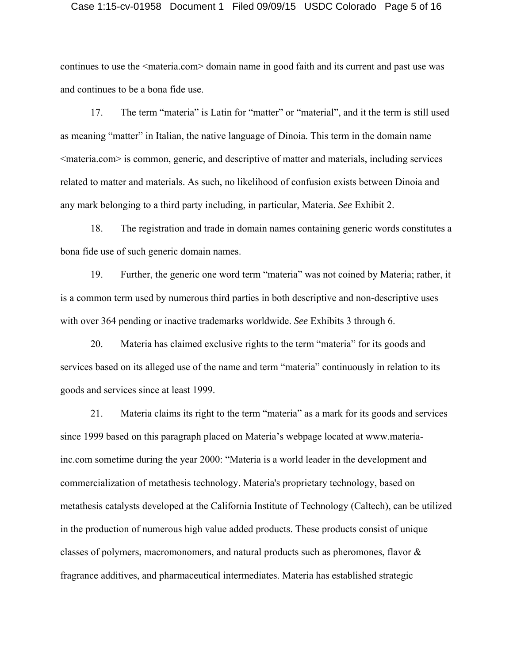#### Case 1:15-cv-01958 Document 1 Filed 09/09/15 USDC Colorado Page 5 of 16

continues to use the  $\leq$ materia.com  $\geq$  domain name in good faith and its current and past use was and continues to be a bona fide use.

17. The term "materia" is Latin for "matter" or "material", and it the term is still used as meaning "matter" in Italian, the native language of Dinoia. This term in the domain name  $\leq$ materia.com $\geq$  is common, generic, and descriptive of matter and materials, including services related to matter and materials. As such, no likelihood of confusion exists between Dinoia and any mark belonging to a third party including, in particular, Materia. *See* Exhibit 2.

18. The registration and trade in domain names containing generic words constitutes a bona fide use of such generic domain names.

19. Further, the generic one word term "materia" was not coined by Materia; rather, it is a common term used by numerous third parties in both descriptive and non-descriptive uses with over 364 pending or inactive trademarks worldwide. *See* Exhibits 3 through 6.

20. Materia has claimed exclusive rights to the term "materia" for its goods and services based on its alleged use of the name and term "materia" continuously in relation to its goods and services since at least 1999.

21. Materia claims its right to the term "materia" as a mark for its goods and services since 1999 based on this paragraph placed on Materia's webpage located at www.materiainc.com sometime during the year 2000: "Materia is a world leader in the development and commercialization of metathesis technology. Materia's proprietary technology, based on metathesis catalysts developed at the California Institute of Technology (Caltech), can be utilized in the production of numerous high value added products. These products consist of unique classes of polymers, macromonomers, and natural products such as pheromones, flavor & fragrance additives, and pharmaceutical intermediates. Materia has established strategic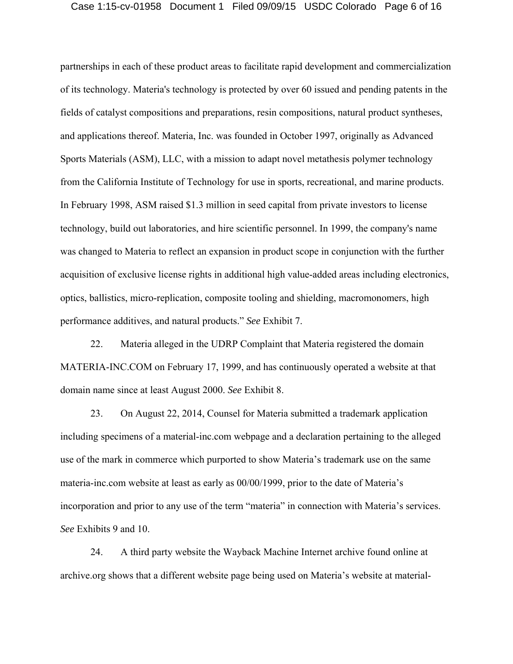### Case 1:15-cv-01958 Document 1 Filed 09/09/15 USDC Colorado Page 6 of 16

partnerships in each of these product areas to facilitate rapid development and commercialization of its technology. Materia's technology is protected by over 60 issued and pending patents in the fields of catalyst compositions and preparations, resin compositions, natural product syntheses, and applications thereof. Materia, Inc. was founded in October 1997, originally as Advanced Sports Materials (ASM), LLC, with a mission to adapt novel metathesis polymer technology from the California Institute of Technology for use in sports, recreational, and marine products. In February 1998, ASM raised \$1.3 million in seed capital from private investors to license technology, build out laboratories, and hire scientific personnel. In 1999, the company's name was changed to Materia to reflect an expansion in product scope in conjunction with the further acquisition of exclusive license rights in additional high value-added areas including electronics, optics, ballistics, micro-replication, composite tooling and shielding, macromonomers, high performance additives, and natural products." *See* Exhibit 7.

22. Materia alleged in the UDRP Complaint that Materia registered the domain MATERIA-INC.COM on February 17, 1999, and has continuously operated a website at that domain name since at least August 2000. *See* Exhibit 8.

23. On August 22, 2014, Counsel for Materia submitted a trademark application including specimens of a material-inc.com webpage and a declaration pertaining to the alleged use of the mark in commerce which purported to show Materia's trademark use on the same materia-inc.com website at least as early as 00/00/1999, prior to the date of Materia's incorporation and prior to any use of the term "materia" in connection with Materia's services. *See* Exhibits 9 and 10.

24. A third party website the Wayback Machine Internet archive found online at archive.org shows that a different website page being used on Materia's website at material-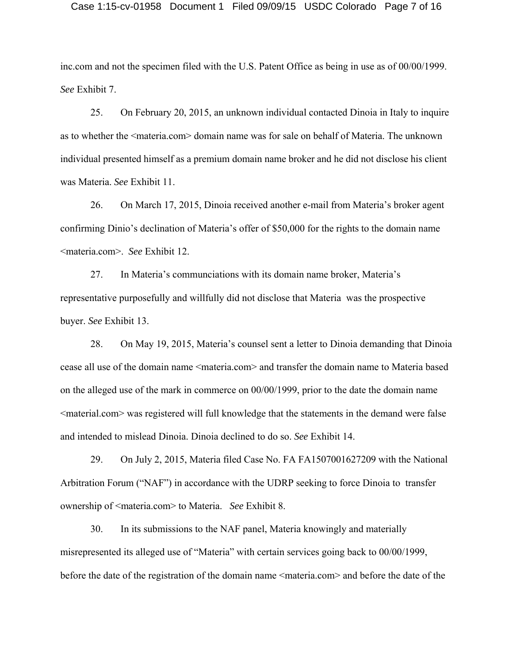inc.com and not the specimen filed with the U.S. Patent Office as being in use as of 00/00/1999. *See* Exhibit 7.

25. On February 20, 2015, an unknown individual contacted Dinoia in Italy to inquire as to whether the <materia.com> domain name was for sale on behalf of Materia. The unknown individual presented himself as a premium domain name broker and he did not disclose his client was Materia. *See* Exhibit 11.

26. On March 17, 2015, Dinoia received another e-mail from Materia's broker agent confirming Dinio's declination of Materia's offer of \$50,000 for the rights to the domain name <materia.com>. *See* Exhibit 12.

27. In Materia's communciations with its domain name broker, Materia's representative purposefully and willfully did not disclose that Materia was the prospective buyer. *See* Exhibit 13.

28. On May 19, 2015, Materia's counsel sent a letter to Dinoia demanding that Dinoia cease all use of the domain name <materia.com> and transfer the domain name to Materia based on the alleged use of the mark in commerce on 00/00/1999, prior to the date the domain name <material.com> was registered will full knowledge that the statements in the demand were false and intended to mislead Dinoia. Dinoia declined to do so. *See* Exhibit 14.

29. On July 2, 2015, Materia filed Case No. FA FA1507001627209 with the National Arbitration Forum ("NAF") in accordance with the UDRP seeking to force Dinoia to transfer ownership of <materia.com> to Materia. *See* Exhibit 8.

30. In its submissions to the NAF panel, Materia knowingly and materially misrepresented its alleged use of "Materia" with certain services going back to 00/00/1999, before the date of the registration of the domain name <materia.com> and before the date of the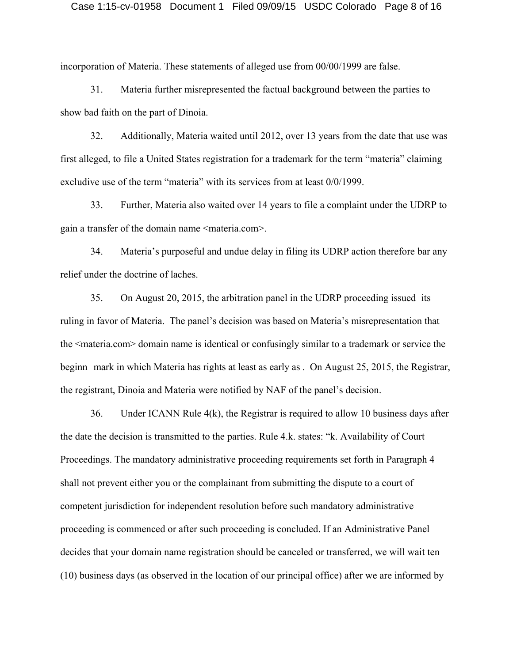#### Case 1:15-cv-01958 Document 1 Filed 09/09/15 USDC Colorado Page 8 of 16

incorporation of Materia. These statements of alleged use from 00/00/1999 are false.

31. Materia further misrepresented the factual background between the parties to show bad faith on the part of Dinoia.

32. Additionally, Materia waited until 2012, over 13 years from the date that use was first alleged, to file a United States registration for a trademark for the term "materia" claiming excludive use of the term "materia" with its services from at least 0/0/1999.

33. Further, Materia also waited over 14 years to file a complaint under the UDRP to gain a transfer of the domain name <materia.com>.

34. Materia's purposeful and undue delay in filing its UDRP action therefore bar any relief under the doctrine of laches.

35. On August 20, 2015, the arbitration panel in the UDRP proceeding issued its ruling in favor of Materia. The panel's decision was based on Materia's misrepresentation that the <materia.com> domain name is identical or confusingly similar to a trademark or service the beginn mark in which Materia has rights at least as early as . On August 25, 2015, the Registrar, the registrant, Dinoia and Materia were notified by NAF of the panel's decision.

36. Under ICANN Rule 4(k), the Registrar is required to allow 10 business days after the date the decision is transmitted to the parties. Rule 4.k. states: "k. Availability of Court Proceedings. The mandatory administrative proceeding requirements set forth in Paragraph 4 shall not prevent either you or the complainant from submitting the dispute to a court of competent jurisdiction for independent resolution before such mandatory administrative proceeding is commenced or after such proceeding is concluded. If an Administrative Panel decides that your domain name registration should be canceled or transferred, we will wait ten (10) business days (as observed in the location of our principal office) after we are informed by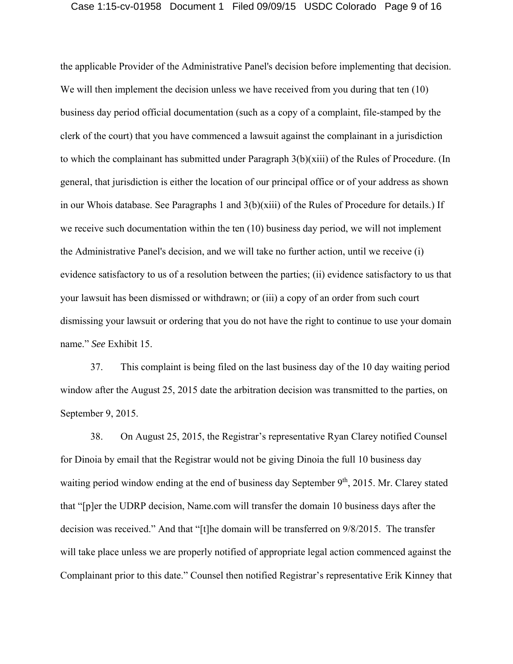### Case 1:15-cv-01958 Document 1 Filed 09/09/15 USDC Colorado Page 9 of 16

the applicable Provider of the Administrative Panel's decision before implementing that decision. We will then implement the decision unless we have received from you during that ten (10) business day period official documentation (such as a copy of a complaint, file-stamped by the clerk of the court) that you have commenced a lawsuit against the complainant in a jurisdiction to which the complainant has submitted under Paragraph 3(b)(xiii) of the Rules of Procedure. (In general, that jurisdiction is either the location of our principal office or of your address as shown in our Whois database. See Paragraphs 1 and 3(b)(xiii) of the Rules of Procedure for details.) If we receive such documentation within the ten (10) business day period, we will not implement the Administrative Panel's decision, and we will take no further action, until we receive (i) evidence satisfactory to us of a resolution between the parties; (ii) evidence satisfactory to us that your lawsuit has been dismissed or withdrawn; or (iii) a copy of an order from such court dismissing your lawsuit or ordering that you do not have the right to continue to use your domain name." *See* Exhibit 15.

37. This complaint is being filed on the last business day of the 10 day waiting period window after the August 25, 2015 date the arbitration decision was transmitted to the parties, on September 9, 2015.

38. On August 25, 2015, the Registrar's representative Ryan Clarey notified Counsel for Dinoia by email that the Registrar would not be giving Dinoia the full 10 business day waiting period window ending at the end of business day September 9<sup>th</sup>, 2015. Mr. Clarey stated that "[p]er the UDRP decision, Name.com will transfer the domain 10 business days after the decision was received." And that "[t]he domain will be transferred on 9/8/2015. The transfer will take place unless we are properly notified of appropriate legal action commenced against the Complainant prior to this date." Counsel then notified Registrar's representative Erik Kinney that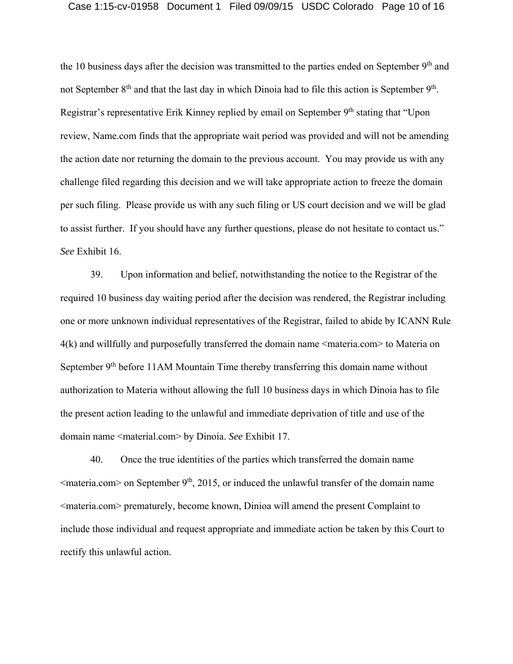# Case 1:15-cv-01958 Document 1 Filed 09/09/15 USDC Colorado Page 10 of 16

the 10 business days after the decision was transmitted to the parties ended on September 9<sup>th</sup> and not September 8<sup>th</sup> and that the last day in which Dinoia had to file this action is September 9<sup>th</sup>. Registrar's representative Erik Kinney replied by email on September 9<sup>th</sup> stating that "Upon" review, Name.com finds that the appropriate wait period was provided and will not be amending the action date nor returning the domain to the previous account. You may provide us with any challenge filed regarding this decision and we will take appropriate action to freeze the domain per such filing. Please provide us with any such filing or US court decision and we will be glad to assist further. If you should have any further questions, please do not hesitate to contact us." *See* Exhibit 16.

39. Upon information and belief, notwithstanding the notice to the Registrar of the required 10 business day waiting period after the decision was rendered, the Registrar including one or more unknown individual representatives of the Registrar, failed to abide by ICANN Rule 4(k) and willfully and purposefully transferred the domain name <materia.com> to Materia on September 9<sup>th</sup> before 11AM Mountain Time thereby transferring this domain name without authorization to Materia without allowing the full 10 business days in which Dinoia has to file the present action leading to the unlawful and immediate deprivation of title and use of the domain name <material.com> by Dinoia. *See* Exhibit 17.

40. Once the true identities of the parties which transferred the domain name  $\leq$ materia.com  $>$  on September 9<sup>th</sup>, 2015, or induced the unlawful transfer of the domain name <materia.com> prematurely, become known, Dinioa will amend the present Complaint to include those individual and request appropriate and immediate action be taken by this Court to rectify this unlawful action.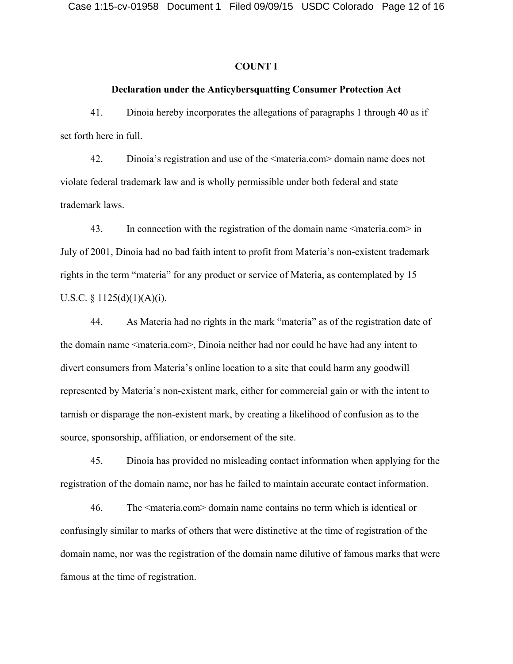### **COUNT I**

## **Declaration under the Anticybersquatting Consumer Protection Act**

41. Dinoia hereby incorporates the allegations of paragraphs 1 through 40 as if set forth here in full.

42. Dinoia's registration and use of the <materia.com> domain name does not violate federal trademark law and is wholly permissible under both federal and state trademark laws.

43. In connection with the registration of the domain name  $\leq$  materia.com in July of 2001, Dinoia had no bad faith intent to profit from Materia's non-existent trademark rights in the term "materia" for any product or service of Materia, as contemplated by 15 U.S.C. § 1125 $(d)(1)(A)(i)$ .

44. As Materia had no rights in the mark "materia" as of the registration date of the domain name <materia.com>, Dinoia neither had nor could he have had any intent to divert consumers from Materia's online location to a site that could harm any goodwill represented by Materia's non-existent mark, either for commercial gain or with the intent to tarnish or disparage the non-existent mark, by creating a likelihood of confusion as to the source, sponsorship, affiliation, or endorsement of the site.

45. Dinoia has provided no misleading contact information when applying for the registration of the domain name, nor has he failed to maintain accurate contact information.

46. The <materia.com> domain name contains no term which is identical or confusingly similar to marks of others that were distinctive at the time of registration of the domain name, nor was the registration of the domain name dilutive of famous marks that were famous at the time of registration.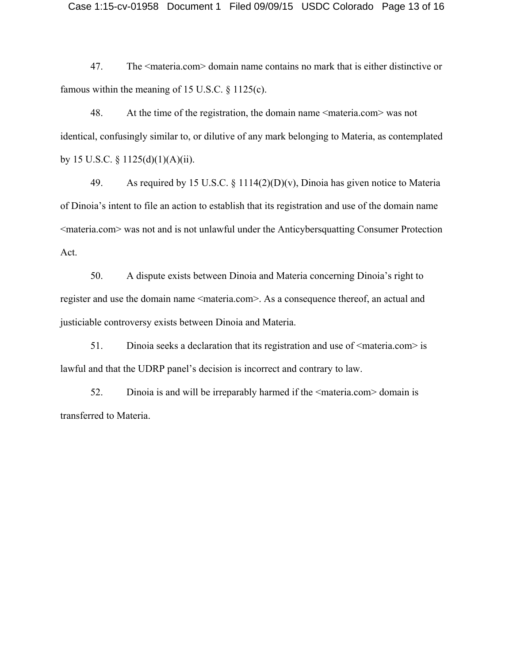47. The <materia.com> domain name contains no mark that is either distinctive or famous within the meaning of 15 U.S.C.  $\S$  1125(c).

48. At the time of the registration, the domain name <materia.com> was not identical, confusingly similar to, or dilutive of any mark belonging to Materia, as contemplated by 15 U.S.C.  $\S$  1125(d)(1)(A)(ii).

49. As required by 15 U.S.C. § 1114(2)(D)(v), Dinoia has given notice to Materia of Dinoia's intent to file an action to establish that its registration and use of the domain name <materia.com> was not and is not unlawful under the Anticybersquatting Consumer Protection Act.

50. A dispute exists between Dinoia and Materia concerning Dinoia's right to register and use the domain name <materia.com>. As a consequence thereof, an actual and justiciable controversy exists between Dinoia and Materia.

51. Dinoia seeks a declaration that its registration and use of  $\leq$ materia.com> is lawful and that the UDRP panel's decision is incorrect and contrary to law.

52. Dinoia is and will be irreparably harmed if the <materia.com> domain is transferred to Materia.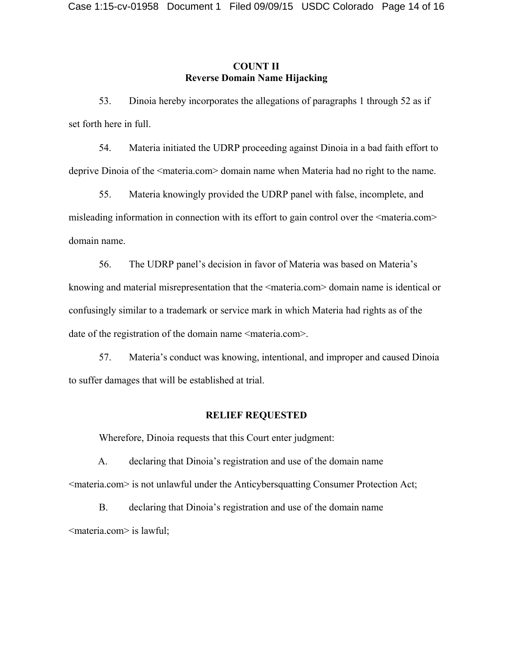# **COUNT II Reverse Domain Name Hijacking**

53. Dinoia hereby incorporates the allegations of paragraphs 1 through 52 as if set forth here in full.

54. Materia initiated the UDRP proceeding against Dinoia in a bad faith effort to deprive Dinoia of the <materia.com> domain name when Materia had no right to the name.

55. Materia knowingly provided the UDRP panel with false, incomplete, and misleading information in connection with its effort to gain control over the  $\leq$ materia.com $\geq$ domain name.

56. The UDRP panel's decision in favor of Materia was based on Materia's knowing and material misrepresentation that the <materia.com> domain name is identical or confusingly similar to a trademark or service mark in which Materia had rights as of the date of the registration of the domain name <materia.com>.

57. Materia's conduct was knowing, intentional, and improper and caused Dinoia to suffer damages that will be established at trial.

## **RELIEF REQUESTED**

Wherefore, Dinoia requests that this Court enter judgment:

A. declaring that Dinoia's registration and use of the domain name <materia.com> is not unlawful under the Anticybersquatting Consumer Protection Act;

B. declaring that Dinoia's registration and use of the domain name <materia.com> is lawful;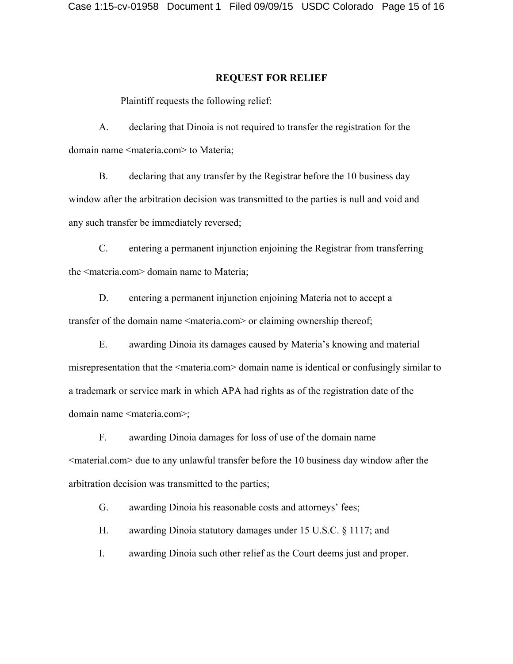#### **REQUEST FOR RELIEF**

Plaintiff requests the following relief:

A. declaring that Dinoia is not required to transfer the registration for the domain name <materia.com> to Materia;

B. declaring that any transfer by the Registrar before the 10 business day window after the arbitration decision was transmitted to the parties is null and void and any such transfer be immediately reversed;

C. entering a permanent injunction enjoining the Registrar from transferring the <materia.com> domain name to Materia;

D. entering a permanent injunction enjoining Materia not to accept a transfer of the domain name <materia.com> or claiming ownership thereof;

E. awarding Dinoia its damages caused by Materia's knowing and material misrepresentation that the <materia.com> domain name is identical or confusingly similar to a trademark or service mark in which APA had rights as of the registration date of the domain name <materia.com>;

F. awarding Dinoia damages for loss of use of the domain name <material.com> due to any unlawful transfer before the 10 business day window after the arbitration decision was transmitted to the parties;

G. awarding Dinoia his reasonable costs and attorneys' fees;

H. awarding Dinoia statutory damages under 15 U.S.C. § 1117; and

I. awarding Dinoia such other relief as the Court deems just and proper.